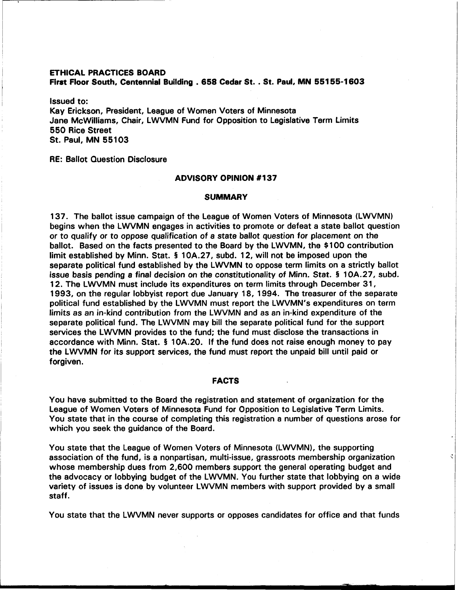### **ETHICAL PRACTICES BOARD**

**First Floor South, Centennial Building** . **658 Cedar St.** . **St. Paul, MN 551 55-1603** 

Issued to: Kay Erickson, President, League of Women Voters of Minnesota Jane McWilliams, Chair, LWVMN Fund for Opposition to Legislative Term Limits 550 Rice Street St. Paul, MN 55103

# RE: Ballot Question Disclosure

## **ADVISORY OPINION #I37**

#### **SUMMARY**

137. The ballot issue campaign of the League of Women Voters of Minnesota (LWVMN) begins when the LWVMN engages in activities to promote or defeat a state ballot question or to qualify or to oppose qualification of a state ballot question for placement on the ballot. Based on the facts presented to the Board by the LWVMN, the \$100 contribution limit established by Minn. Stat. **5** 10A.27, subd. 12, will not be imposed upon the separate political fund established by the LWVMN to oppose term limits on a strictly ballot issue basis pending a final decision on the constitutionality of Minn. Stat. § 10A.27, subd. 12. The LWVMN must include its expenditures on term limits through December 31, 1993, on the regular lobbyist report due January 18, 1994. The treasurer of the separate political fund established by the LWVMN must report the LWVMN's expenditures on term limits as an in-kind contribution from the LWVMN and as an in-kind expenditure of the separate political fund. The LWVMN may bill the separate political fund for the support services the LWVMN provides to the fund; the fund must disclose the transactions in accordance with Minn. Stat. **5** 10A.20. If the fund does not raise enough money to pay the LWVMN for its support services, the fund must report the unpaid bill until paid or forgiven.

## **FACTS**

You have submitted to the Board the registration and statement of organization for the League of Women Voters of Minnesota Fund for Opposition to Legislative Term Limits. You state that in the course of completing this registration a number of questions arose for which you seek the guidance of the Board.

You state that the League of Women Voters of Minnesota (LWVMN), the supporting association of the fund, is a nonpartisan, multi-issue, grassroots membership organization whose membership dues from 2,600 members support the general operating budget and the advocacy or lobbying budget of the LWVMN. You further state that lobbying on a wide variety of issues is done by volunteer LWVMN members with support provided by a small staff.

You state that the LWVMN never supports or opposes candidates for office and that funds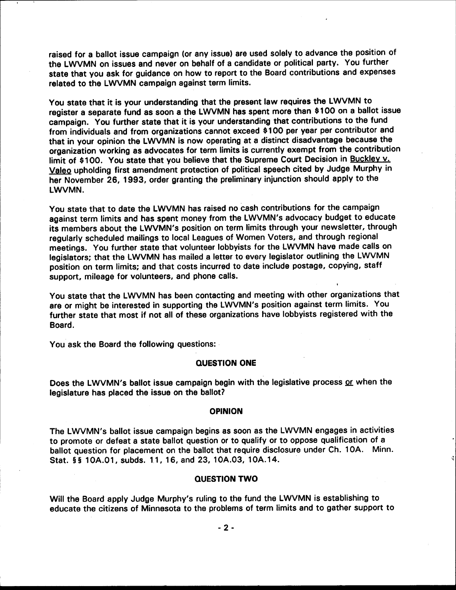raised for a ballot issue campaign (or any issue) are used solely to advance the position of the LWVMN on issues and never on behalf of a candidate or political party. You further state that you ask for guidance on how to report to the Board contributions and expenses related to the LWVMN campaign against term limits.

You state that it is your understanding that the present law requires the LWVMN to register a separate fund as soon a the LWVMN has spent more than \$100 on a ballot issue campaign. You further state that it is your understanding that contributions to the fund from individuals and from organizations cannot exceed \$100 per year per contributor and that in your opinion the LWVMN is now operating at a distinct disadvantage because the organization working as advocates for term limits is currently exempt from the contribution limit of \$100. You state that you believe that the Supreme Court Decision in Buckley v. Valeo upholding first amendment protection of political speech cited by Judge Murphy in her November 26, 1993, order granting the preliminary injunction should apply to the LWVMN.

You state that to date the LWVMN has raised no cash contributions for the campaign against term limits and has spent money from the LWVMN's advocacy budget to educate its members about the LWVMN's position on term limits through your newsletter, through regularly scheduled mailings to local Leagues of Women Voters, and through regional meetings. You further state that volunteer lobbyists for the LWVMN have made calls on legislators; that the LWVMN has mailed a letter to every legislator outlining the LWVMN position on term limits; and that costs incurred to date include postage, copying, staff support, mileage for volunteers, and phone calls.

You state that the LWVMN has been contacting and meeting with other organizations that are or might be interested in supporting the LWVMN's position against term limits. You further state that most if not all of these organizations have lobbyists registered with the Board.

You ask the Board the following questions:

## **QUESTION ONE**

Does the LWVMN's ballot issue campaign begin with the legislative process or when the legislature has placed the issue on the ballot?

## **OPINION**

The LWVMN's ballot issue campaign begins as soon as the LWVMN engages in activities to promote or defeat a state ballot question or to qualify or to oppose qualification of a ballot question for placement on the ballot that require disclosure under Ch. 10A. Minn. Stat. §§ 10A.01, subds. 11, 16, and 23, 10A.03, 10A.14.

# **QUESTION TWO**

Will the Board apply Judge Murphy's ruling to the fund the LWVMN is establishing to educate the citizens of Minnesota to the problems of term limits and to gather support to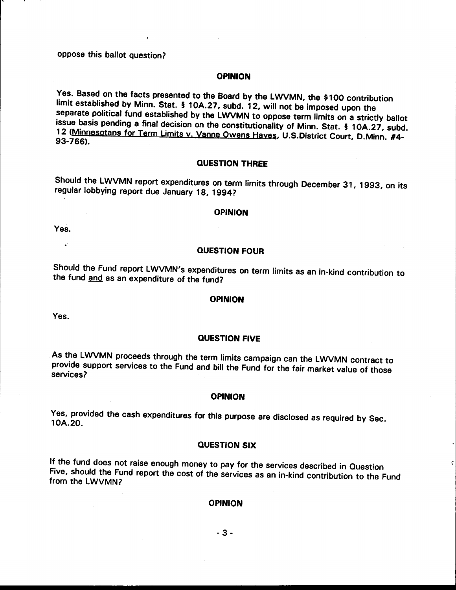oppose this ballot question?

## **OPINION**

Yes. Based on the facts presented to the Board by the LWVMN, the \$100 contribution limit established by Minn. Stat. § 10A.27, subd. 12, will not be imposed upon the separate political fund established by the LWVMN to oppose term limits on a strictly ballot issue basis pending a final decision on the constitutionality of Minn. Stat. § 10A.27, subd. 12 (Minnesotans for Term Limits v. Vanne Owens Hayes, U.S.District Court, D.Minn. #4-93-766).

#### **QUESTION THREE**

Should the LWVMN report expenditures on term limits through December 31, 1993, on its regular lobbying report due January 18, 1994?

#### **OPINION**

Yes.

## **QUESTION FOUR**

Should the Fund report LWVMN's expenditures on term limits as an in-kind contribution to the fund and as an expenditure of the fund?

# **OPINION**

Yes.

### **QUESTION FIVE**

As the LWVMN proceeds through the term limits campaign can the LWVMN contract to provide support services to the Fund and bill the Fund for the fair market value of those services?

### **OPINION**

Yes, provided the cash expenditures for this purpose are disclosed as required by Sec. 10A.20.

#### **QUESTION SIX**

 $\zeta$ 

If the fund does not raise enough money to pay for the services described in Question Five, should the Fund report the cost of the services as an in-kind contribution to the Fund from the LWVMN?

#### **OPINION**

 $-3-$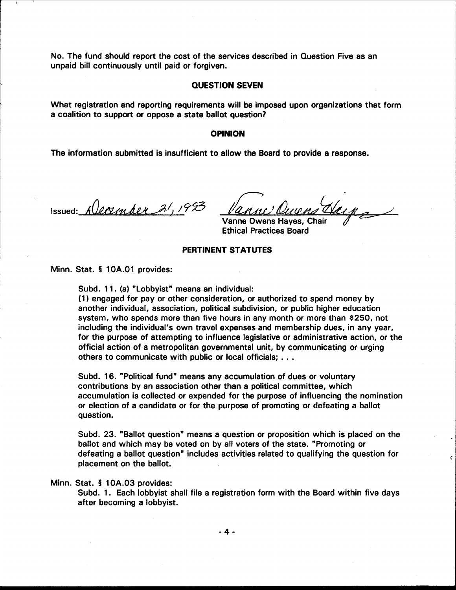No. The fund should report the cost of the services described in Question Five as an unpaid bill continuously until paid or forgiven.

## **QUESTION SEVEN**

What registration and reporting requirements will be imposed upon organizations that form a coalition to support or oppose a state ballot question?

#### **OPINION**

The information submitted is insufficient to allow the Board to provide a response.

Issued: Alecember 21, 1993

Ň.

Vanne Owens Hayes, Chair **Ethical Practices Board** 

## PERTINENT STATUTES

Minn. Stat. § 10A.01 provides:

Subd. 11. (a) "Lobbyist" means an individual:

(1) engaged for pay or other consideration, or authorized to spend money by another individual, association, political subdivision, or public higher education system, who spends more than five hours in any month or more than \$250, not including the individual's own travel expenses and membership dues, in any year, for the purpose of attempting to influence legislative or administrative action, or the official action of a metropolitan governmental unit, by communicating or urging others to communicate with public or local officials; . . .

Subd. 16. "Political fund" means any accumulation of dues or voluntary contributions by an association other than a political committee, which accumulation is collected or expended for the purpose of influencing the nomination or election of a candidate or for the purpose of promoting or defeating a ballot question.

Subd. 23. "Ballot question" means a question or proposition which is placed on the ballot and which may be voted on by all voters of the state. "Promoting or defeating a ballot question" includes activities related to qualifying the question for placement on the ballot.

#### Minn. Stat. § 10A.03 provides:

Subd. 1. Each lobbyist shall file a registration form with the Board within five days after becoming a lobbyist.